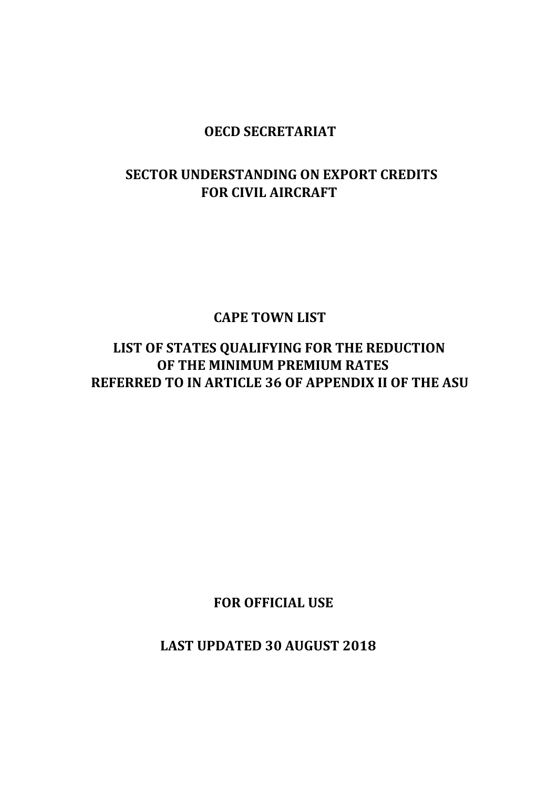## **OECD SECRETARIAT**

## **SECTOR UNDERSTANDING ON EXPORT CREDITS FOR CIVIL AIRCRAFT**

 **CAPE TOWN LIST**

 **LIST OF STATES QUALIFYING FOR THE REDUCTION OF THE MINIMUM PREMIUM RATES REFERRED TO IN ARTICLE 36 OF APPENDIX II OF THE ASU**

 **FOR OFFICIAL USE**

 **LAST UPDATED 30 AUGUST 2018**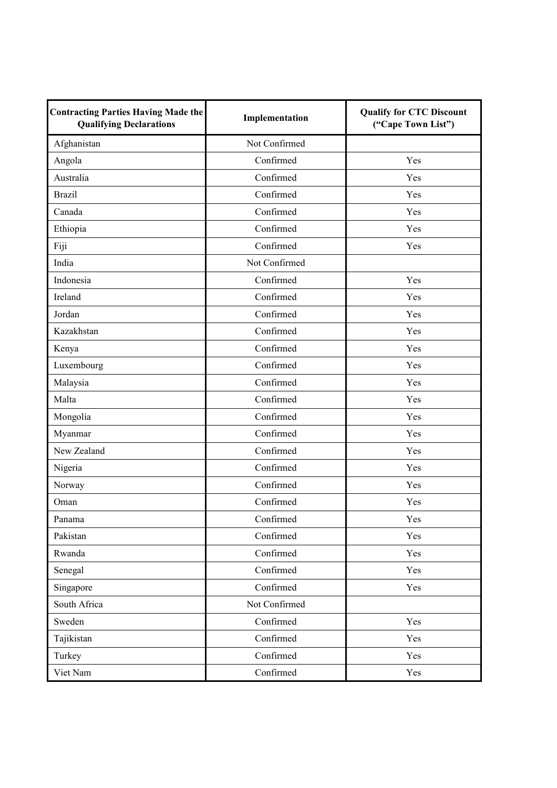| <b>Contracting Parties Having Made the</b><br><b>Qualifying Declarations</b> | Implementation | <b>Qualify for CTC Discount</b><br>("Cape Town List") |
|------------------------------------------------------------------------------|----------------|-------------------------------------------------------|
| Afghanistan                                                                  | Not Confirmed  |                                                       |
| Angola                                                                       | Confirmed      | Yes                                                   |
| Australia                                                                    | Confirmed      | Yes                                                   |
| <b>Brazil</b>                                                                | Confirmed      | Yes                                                   |
| Canada                                                                       | Confirmed      | Yes                                                   |
| Ethiopia                                                                     | Confirmed      | Yes                                                   |
| Fiji                                                                         | Confirmed      | Yes                                                   |
| India                                                                        | Not Confirmed  |                                                       |
| Indonesia                                                                    | Confirmed      | Yes                                                   |
| Ireland                                                                      | Confirmed      | Yes                                                   |
| Jordan                                                                       | Confirmed      | Yes                                                   |
| Kazakhstan                                                                   | Confirmed      | Yes                                                   |
| Kenya                                                                        | Confirmed      | Yes                                                   |
| Luxembourg                                                                   | Confirmed      | Yes                                                   |
| Malaysia                                                                     | Confirmed      | Yes                                                   |
| Malta                                                                        | Confirmed      | Yes                                                   |
| Mongolia                                                                     | Confirmed      | Yes                                                   |
| Myanmar                                                                      | Confirmed      | Yes                                                   |
| New Zealand                                                                  | Confirmed      | Yes                                                   |
| Nigeria                                                                      | Confirmed      | Yes                                                   |
| Norway                                                                       | Confirmed      | Yes                                                   |
| Oman                                                                         | Confirmed      | Yes                                                   |
| Panama                                                                       | Confirmed      | Yes                                                   |
| Pakistan                                                                     | Confirmed      | Yes                                                   |
| Rwanda                                                                       | Confirmed      | Yes                                                   |
| Senegal                                                                      | Confirmed      | Yes                                                   |
| Singapore                                                                    | Confirmed      | Yes                                                   |
| South Africa                                                                 | Not Confirmed  |                                                       |
| Sweden                                                                       | Confirmed      | Yes                                                   |
| Tajikistan                                                                   | Confirmed      | Yes                                                   |
| Turkey                                                                       | Confirmed      | Yes                                                   |
| Viet Nam                                                                     | Confirmed      | Yes                                                   |